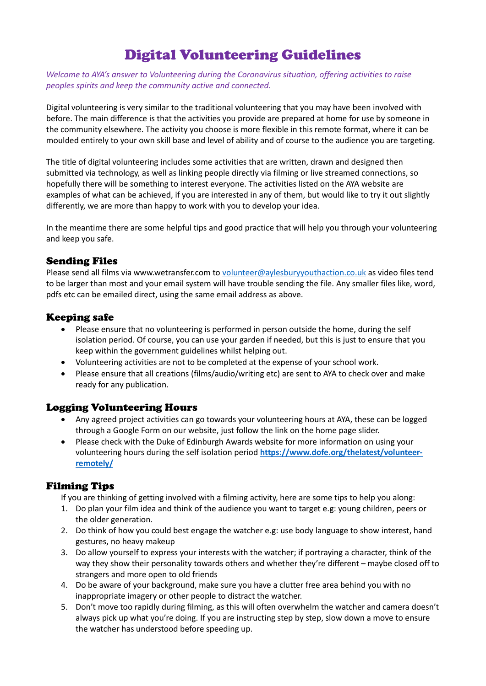# Digital Volunteering Guidelines

*Welcome to AYA's answer to Volunteering during the Coronavirus situation, offering activities to raise peoples spirits and keep the community active and connected.*

Digital volunteering is very similar to the traditional volunteering that you may have been involved with before. The main difference is that the activities you provide are prepared at home for use by someone in the community elsewhere. The activity you choose is more flexible in this remote format, where it can be moulded entirely to your own skill base and level of ability and of course to the audience you are targeting.

The title of digital volunteering includes some activities that are written, drawn and designed then submitted via technology, as well as linking people directly via filming or live streamed connections, so hopefully there will be something to interest everyone. The activities listed on the AYA website are examples of what can be achieved, if you are interested in any of them, but would like to try it out slightly differently, we are more than happy to work with you to develop your idea.

In the meantime there are some helpful tips and good practice that will help you through your volunteering and keep you safe.

#### Sending Files

Please send all films via www.wetransfer.com to [volunteer@aylesburyyouthaction.co.uk](mailto:volunteer@aylesburyyouthaction.co.uk) as video files tend to be larger than most and your email system will have trouble sending the file. Any smaller files like, word, pdfs etc can be emailed direct, using the same email address as above.

#### Keeping safe

- Please ensure that no volunteering is performed in person outside the home, during the self isolation period. Of course, you can use your garden if needed, but this is just to ensure that you keep within the government guidelines whilst helping out.
- Volunteering activities are not to be completed at the expense of your school work.
- Please ensure that all creations (films/audio/writing etc) are sent to AYA to check over and make ready for any publication.

### Logging Volunteering Hours

- Any agreed project activities can go towards your volunteering hours at AYA, these can be logged through a Google Form on our website, just follow the link on the home page slider.
- Please check with the Duke of Edinburgh Awards website for more information on using your volunteering hours during the self isolation period **[https://www.dofe.org/thelatest/volunteer](https://www.dofe.org/thelatest/volunteer-remotely/)[remotely/](https://www.dofe.org/thelatest/volunteer-remotely/)**

### Filming Tips

If you are thinking of getting involved with a filming activity, here are some tips to help you along:

- 1. Do plan your film idea and think of the audience you want to target e.g: young children, peers or the older generation.
- 2. Do think of how you could best engage the watcher e.g: use body language to show interest, hand gestures, no heavy makeup
- 3. Do allow yourself to express your interests with the watcher; if portraying a character, think of the way they show their personality towards others and whether they're different – maybe closed off to strangers and more open to old friends
- 4. Do be aware of your background, make sure you have a clutter free area behind you with no inappropriate imagery or other people to distract the watcher.
- 5. Don't move too rapidly during filming, as this will often overwhelm the watcher and camera doesn't always pick up what you're doing. If you are instructing step by step, slow down a move to ensure the watcher has understood before speeding up.